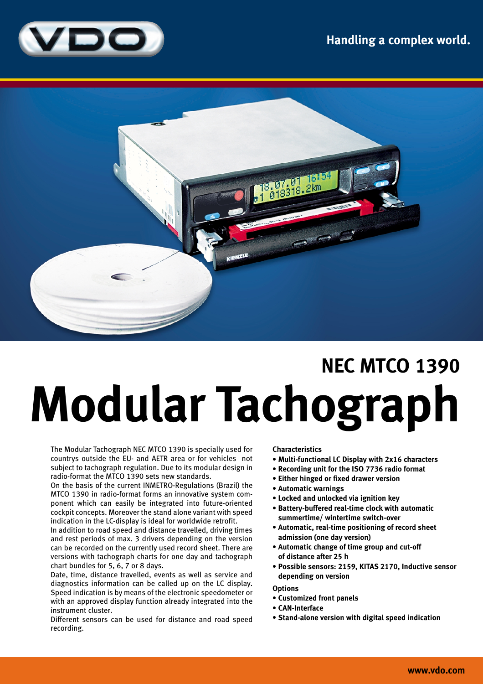



## **NEC MTCO 1390 Modular Tachograph**

The Modular Tachograph NEC MTCO 1390 is specially used for countrys outside the EU- and AETR area or for vehicles not subject to tachograph regulation. Due to its modular design in radio-format the MTCO 1390 sets new standards.

On the basis of the current INMETRO-Regulations (Brazil) the MTCO 1390 in radio-format forms an innovative system component which can easily be integrated into future-oriented cockpit concepts. Moreover the stand alone variant with speed indication in the LC-display is ideal for worldwide retrofit.

In addition to road speed and distance travelled, driving times and rest periods of max. 3 drivers depending on the version can be recorded on the currently used record sheet. There are versions with tachograph charts for one day and tachograph chart bundles for 5, 6, 7 or 8 days.

Date, time, distance travelled, events as well as service and diagnostics information can be called up on the LC display. Speed indication is by means of the electronic speedometer or with an approved display function already integrated into the instrument cluster.

Different sensors can be used for distance and road speed recording.

## **Characteristics**

- **Multi-functional LC Display with 2x16 characters**
- **Recording unit for the ISO 7736 radio format**
- **Either hinged or fixed drawer version**
- **Automatic warnings**
- **Locked and unlocked via ignition key**
- **Battery-buffered real-time clock with automatic summertime/ wintertime switch-over**
- **Automatic, real-time positioning of record sheet admission (one day version)**
- **Automatic change of time group and cut-off of distance after 25 h**
- **Possible sensors: 2159, KITAS 2170, Inductive sensor depending on version**

**Options**

- **Customized front panels**
- **CAN-Interface**
- **Stand-alone version with digital speed indication**